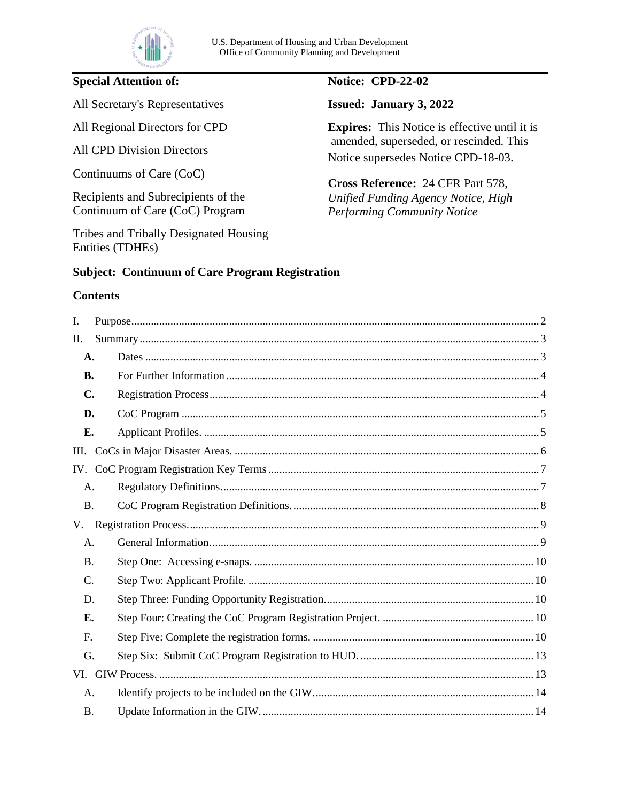

### **Special Attention of:**

All Secretary's Representatives

All Regional Directors for CPD

All CPD Division Directors

Continuums of Care (CoC)

Recipients and Subrecipients of the Continuum of Care (CoC) Program

Tribes and Tribally Designated Housing Entities (TDHEs)

#### **Notice: CPD-22-02**

**Issued: January 3, 2022** 

**Expires:** This Notice is effective until it is amended, superseded, or rescinded. This Notice supersedes Notice CPD-18-03.

**Cross Reference:** 24 CFR Part 578, *Unified Funding Agency Notice, High Performing Community Notice* 

#### **Subject: Continuum of Care Program Registration**

#### **Contents**

| I.             |  |  |  |  |
|----------------|--|--|--|--|
| Π.             |  |  |  |  |
| A.             |  |  |  |  |
| <b>B.</b>      |  |  |  |  |
| $\mathbf{C}$ . |  |  |  |  |
| D.             |  |  |  |  |
| Е.             |  |  |  |  |
| III.           |  |  |  |  |
|                |  |  |  |  |
| А.             |  |  |  |  |
| <b>B.</b>      |  |  |  |  |
| V.             |  |  |  |  |
| А.             |  |  |  |  |
| <b>B.</b>      |  |  |  |  |
| C.             |  |  |  |  |
| D.             |  |  |  |  |
| Е.             |  |  |  |  |
| F.             |  |  |  |  |
| G.             |  |  |  |  |
|                |  |  |  |  |
| A.             |  |  |  |  |
| <b>B.</b>      |  |  |  |  |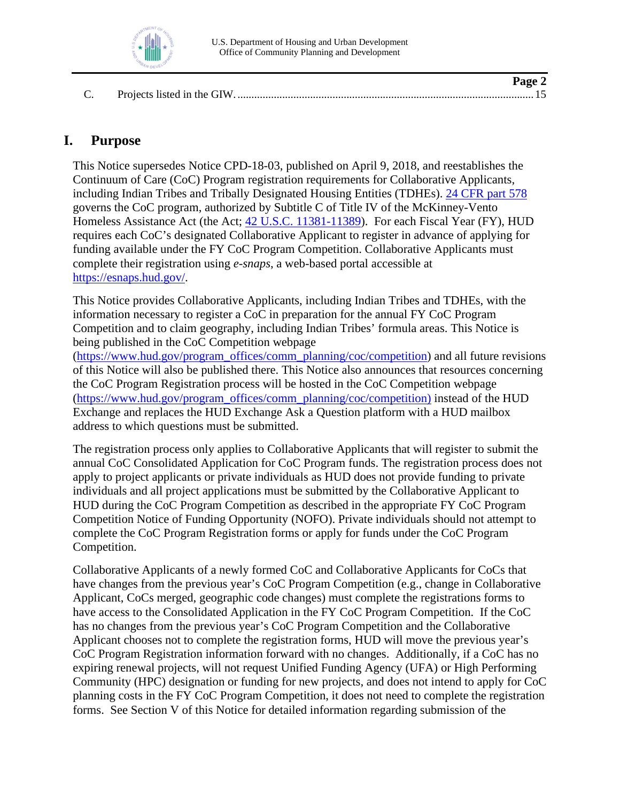

 $\mathbf{p}_{\alpha\alpha\alpha}$ 

## <span id="page-1-0"></span>**I. Purpose**

This Notice supersedes Notice CPD-18-03, published on April 9, 2018, and reestablishes the Continuum of Care (CoC) Program registration requirements for Collaborative Applicants, including Indian Tribes and Tribally Designated Housing Entities (TDHEs). [24 CFR part 578](https://www.ecfr.gov/current/title-24/subtitle-B/chapter-V/subchapter-C/part-578?toc=1) governs the CoC program, authorized by Subtitle C of Title IV of the McKinney-Vento Homeless Assistance Act (the Act; [42 U.S.C. 11381-11389\)](https://uscode.house.gov/view.xhtml?path=/prelim@title42/chapter119/subchapter4/partC&edition=prelim). For each Fiscal Year (FY), HUD requires each CoC's designated Collaborative Applicant to register in advance of applying for funding available under the FY CoC Program Competition. Collaborative Applicants must complete their registration using *e-snaps*, a web-based portal accessible at [https://esnaps.hud.gov/.](https://esnaps.hud.gov/)

This Notice provides Collaborative Applicants, including Indian Tribes and TDHEs, with the information necessary to register a CoC in preparation for the annual FY CoC Program Competition and to claim geography, including Indian Tribes' formula areas. This Notice is being published in the CoC Competition webpage

[\(https://www.hud.gov/program\\_offices/comm\\_planning/coc/competition\)](https://www.hud.gov/program_offices/comm_planning/coc/competition) and all future revisions of this Notice will also be published there. This Notice also announces that resources concerning the CoC Program Registration process will be hosted in the CoC Competition webpage [\(https://www.hud.gov/program\\_offices/comm\\_planning/coc/competition\)](https://www.hud.gov/program_offices/comm_planning/coc/competition) instead of the HUD Exchange and replaces the HUD Exchange Ask a Question platform with a HUD mailbox address to which questions must be submitted.

The registration process only applies to Collaborative Applicants that will register to submit the annual CoC Consolidated Application for CoC Program funds. The registration process does not apply to project applicants or private individuals as HUD does not provide funding to private individuals and all project applications must be submitted by the Collaborative Applicant to HUD during the CoC Program Competition as described in the appropriate FY CoC Program Competition Notice of Funding Opportunity (NOFO). Private individuals should not attempt to complete the CoC Program Registration forms or apply for funds under the CoC Program Competition.

Collaborative Applicants of a newly formed CoC and Collaborative Applicants for CoCs that have changes from the previous year's CoC Program Competition (e.g., change in Collaborative Applicant, CoCs merged, geographic code changes) must complete the registrations forms to have access to the Consolidated Application in the FY CoC Program Competition. If the CoC has no changes from the previous year's CoC Program Competition and the Collaborative Applicant chooses not to complete the registration forms, HUD will move the previous year's CoC Program Registration information forward with no changes. Additionally, if a CoC has no expiring renewal projects, will not request Unified Funding Agency (UFA) or High Performing Community (HPC) designation or funding for new projects, and does not intend to apply for CoC planning costs in the FY CoC Program Competition, it does not need to complete the registration forms. See Section V of this Notice for detailed information regarding submission of the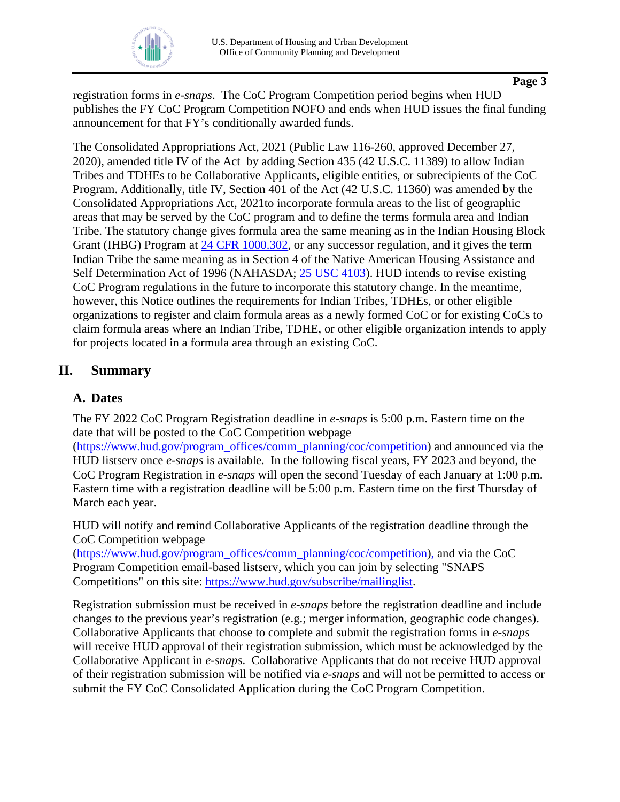

registration forms in *e-snaps*. The CoC Program Competition period begins when HUD publishes the FY CoC Program Competition NOFO and ends when HUD issues the final funding announcement for that FY's conditionally awarded funds.

The Consolidated Appropriations Act, 2021 (Public Law 116-260, approved December 27, 2020), amended title IV of the Act by adding Section 435 (42 U.S.C. 11389) to allow Indian Tribes and TDHEs to be Collaborative Applicants, eligible entities, or subrecipients of the CoC Program. Additionally, title IV, Section 401 of the Act (42 U.S.C. 11360) was amended by the Consolidated Appropriations Act, 2021to incorporate formula areas to the list of geographic areas that may be served by the CoC program and to define the terms formula area and Indian Tribe. The statutory change gives formula area the same meaning as in the Indian Housing Block Grant (IHBG) Program at [24 CFR 1000.302,](https://www.ecfr.gov/current/title-24/subtitle-B/chapter-IX/part-1000/subpart-D/section-1000.302) or any successor regulation, and it gives the term Indian Tribe the same meaning as in Section 4 of the Native American Housing Assistance and Self Determination Act of 1996 (NAHASDA; [25 USC 4103\)](https://uscode.house.gov/view.xhtml?req=granuleid:USC-prelim-title25-section4103&num=0&edition=prelim). HUD intends to revise existing CoC Program regulations in the future to incorporate this statutory change. In the meantime, however, this Notice outlines the requirements for Indian Tribes, TDHEs, or other eligible organizations to register and claim formula areas as a newly formed CoC or for existing CoCs to claim formula areas where an Indian Tribe, TDHE, or other eligible organization intends to apply for projects located in a formula area through an existing CoC.

# <span id="page-2-0"></span>**II. Summary**

## <span id="page-2-1"></span>**A. Dates**

The FY 2022 CoC Program Registration deadline in *e-snaps* is 5:00 p.m. Eastern time on the date that will be posted to the CoC Competition webpage

[\(https://www.hud.gov/program\\_offices/comm\\_planning/coc/competition\)](https://www.hud.gov/program_offices/comm_planning/coc/competition) and announced via the HUD listserv once *e-snaps* is available. In the following fiscal years, FY 2023 and beyond, the CoC Program Registration in *e-snaps* will open the second Tuesday of each January at 1:00 p.m. Eastern time with a registration deadline will be 5:00 p.m. Eastern time on the first Thursday of March each year.

HUD will notify and remind Collaborative Applicants of the registration deadline through the CoC Competition webpage

[\(https://www.hud.gov/program\\_offices/comm\\_planning/coc/competition\)](https://www.hud.gov/program_offices/comm_planning/coc/competition), and via the CoC Program Competition email-based listserv, which you can join by selecting "SNAPS Competitions" on this site: [https://www.hud.gov/subscribe/mailinglist.](https://www.hud.gov/subscribe/mailinglist)

Registration submission must be received in *e-snaps* before the registration deadline and include changes to the previous year's registration (e.g.; merger information, geographic code changes). Collaborative Applicants that choose to complete and submit the registration forms in *e-snaps*  will receive HUD approval of their registration submission, which must be acknowledged by the Collaborative Applicant in *e-snaps*. Collaborative Applicants that do not receive HUD approval of their registration submission will be notified via *e-snaps* and will not be permitted to access or submit the FY CoC Consolidated Application during the CoC Program Competition.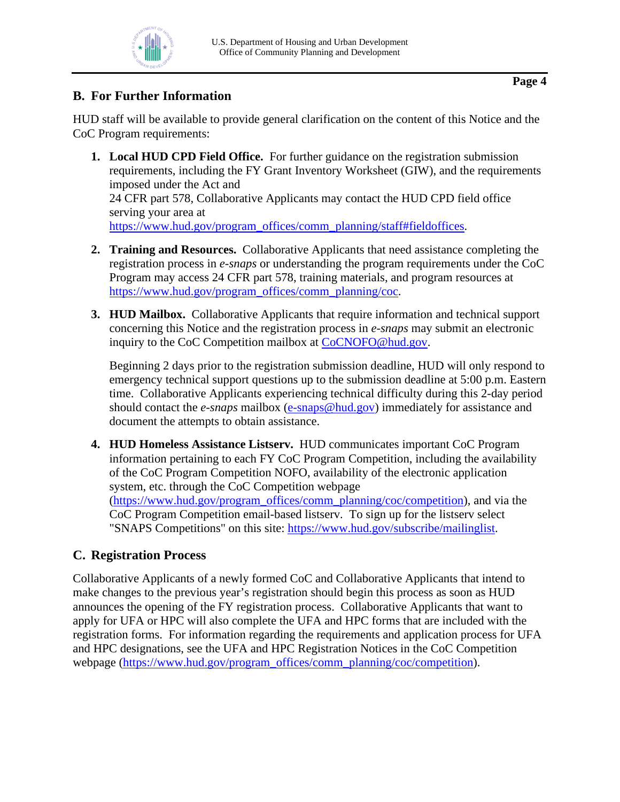# <span id="page-3-0"></span>**B. For Further Information**

HUD staff will be available to provide general clarification on the content of this Notice and the CoC Program requirements:

- **1. Local HUD CPD Field Office.** For further guidance on the registration submission requirements, including the FY Grant Inventory Worksheet (GIW), and the requirements imposed under the Act and 24 CFR part 578, Collaborative Applicants may contact the HUD CPD field office serving your area at [https://www.hud.gov/program\\_offices/comm\\_planning/staff#fieldoffices.](https://www.hud.gov/program_offices/comm_planning/staff#fieldoffices)
- **2. Training and Resources.** Collaborative Applicants that need assistance completing the registration process in *e-snaps* or understanding the program requirements under the CoC Program may access 24 CFR part 578, training materials, and program resources at [https://www.hud.gov/program\\_offices/comm\\_planning/coc.](https://www.hud.gov/program_offices/comm_planning/coc)
- **3. HUD Mailbox.** Collaborative Applicants that require information and technical support concerning this Notice and the registration process in *e-snaps* may submit an electronic inquiry to the CoC Competition mailbox at [CoCNOFO@hud.gov.](mailto:CoCNOFO@hud.gov)

Beginning 2 days prior to the registration submission deadline, HUD will only respond to emergency technical support questions up to the submission deadline at 5:00 p.m. Eastern time. Collaborative Applicants experiencing technical difficulty during this 2-day period should contact the *e-snaps* mailbox [\(e-snaps@hud.gov\)](mailto:e-snaps@hud.gov) immediately for assistance and document the attempts to obtain assistance.

**4. HUD Homeless Assistance Listserv.** HUD communicates important CoC Program information pertaining to each FY CoC Program Competition, including the availability of the CoC Program Competition NOFO, availability of the electronic application system, etc. through the CoC Competition webpage [\(https://www.hud.gov/program\\_offices/comm\\_planning/coc/competition\)](https://www.hud.gov/program_offices/comm_planning/coc/competition), and via the CoC Program Competition email-based listserv. To sign up for the listserv select "SNAPS Competitions" on this site: [https://www.hud.gov/subscribe/mailinglist.](https://www.hud.gov/subscribe/mailinglist)

# <span id="page-3-1"></span>**C. Registration Process**

Collaborative Applicants of a newly formed CoC and Collaborative Applicants that intend to make changes to the previous year's registration should begin this process as soon as HUD announces the opening of the FY registration process. Collaborative Applicants that want to apply for UFA or HPC will also complete the UFA and HPC forms that are included with the registration forms. For information regarding the requirements and application process for UFA and HPC designations, see the UFA and HPC Registration Notices in the CoC Competition webpage [\(https://www.hud.gov/program\\_offices/comm\\_planning/coc/competition\)](https://www.hud.gov/program_offices/comm_planning/coc/competition).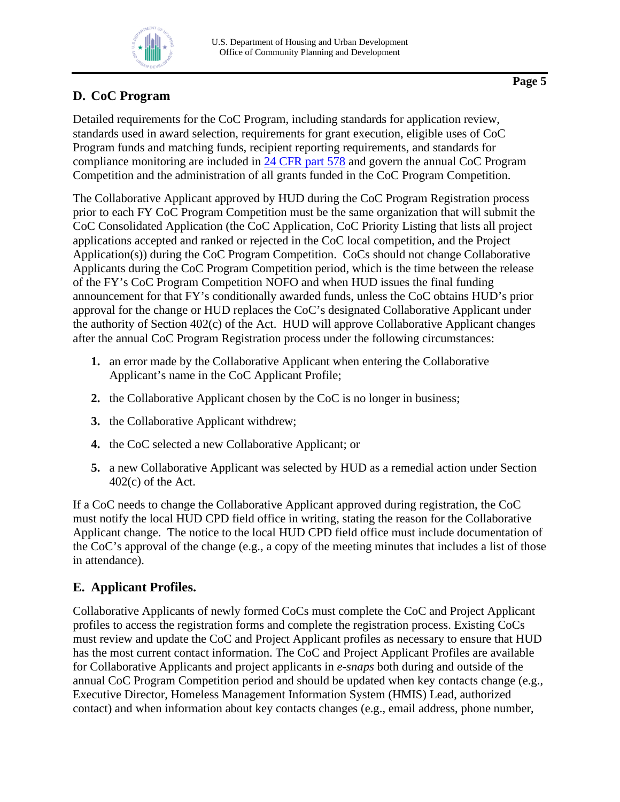

# <span id="page-4-0"></span>**D. CoC Program**

Detailed requirements for the CoC Program, including standards for application review, standards used in award selection, requirements for grant execution, eligible uses of CoC Program funds and matching funds, recipient reporting requirements, and standards for compliance monitoring are included in [24 CFR part 578](https://www.ecfr.gov/current/title-24/subtitle-B/chapter-V/subchapter-C/part-578?toc=1) and govern the annual CoC Program Competition and the administration of all grants funded in the CoC Program Competition.

The Collaborative Applicant approved by HUD during the CoC Program Registration process prior to each FY CoC Program Competition must be the same organization that will submit the CoC Consolidated Application (the CoC Application, CoC Priority Listing that lists all project applications accepted and ranked or rejected in the CoC local competition, and the Project Application(s)) during the CoC Program Competition. CoCs should not change Collaborative Applicants during the CoC Program Competition period, which is the time between the release of the FY's CoC Program Competition NOFO and when HUD issues the final funding announcement for that FY's conditionally awarded funds, unless the CoC obtains HUD's prior approval for the change or HUD replaces the CoC's designated Collaborative Applicant under the authority of Section 402(c) of the Act. HUD will approve Collaborative Applicant changes after the annual CoC Program Registration process under the following circumstances:

- **1.** an error made by the Collaborative Applicant when entering the Collaborative Applicant's name in the CoC Applicant Profile;
- **2.** the Collaborative Applicant chosen by the CoC is no longer in business;
- **3.** the Collaborative Applicant withdrew;
- **4.** the CoC selected a new Collaborative Applicant; or
- **5.** a new Collaborative Applicant was selected by HUD as a remedial action under Section 402(c) of the Act.

If a CoC needs to change the Collaborative Applicant approved during registration, the CoC must notify the local HUD CPD field office in writing, stating the reason for the Collaborative Applicant change. The notice to the local HUD CPD field office must include documentation of the CoC's approval of the change (e.g., a copy of the meeting minutes that includes a list of those in attendance).

# <span id="page-4-1"></span>**E. Applicant Profiles.**

Collaborative Applicants of newly formed CoCs must complete the CoC and Project Applicant profiles to access the registration forms and complete the registration process. Existing CoCs must review and update the CoC and Project Applicant profiles as necessary to ensure that HUD has the most current contact information. The CoC and Project Applicant Profiles are available for Collaborative Applicants and project applicants in *e-snaps* both during and outside of the annual CoC Program Competition period and should be updated when key contacts change (e.g., Executive Director, Homeless Management Information System (HMIS) Lead, authorized contact) and when information about key contacts changes (e.g., email address, phone number,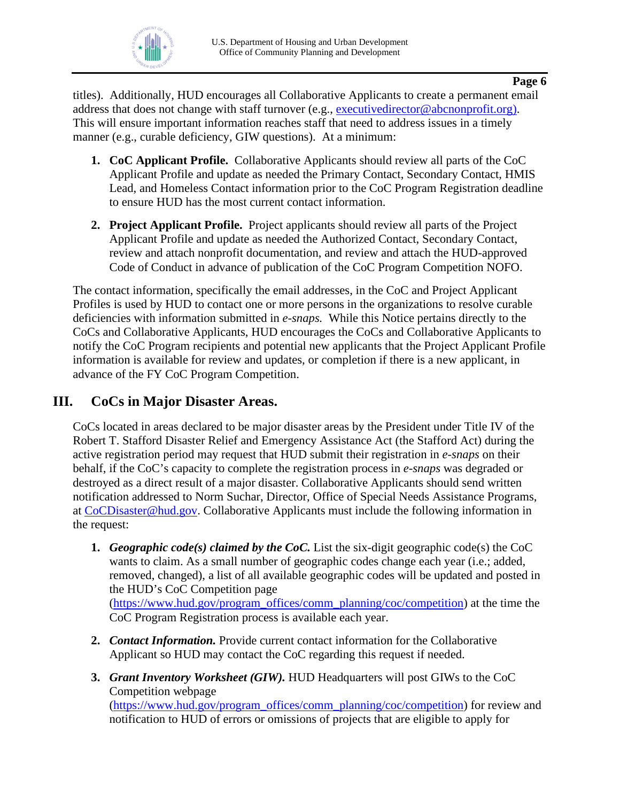

titles). Additionally, HUD encourages all Collaborative Applicants to create a permanent email address that does not change with staff turnover (e.g., [executivedirector@abcnonprofit.org\)](mailto:executivedirector@abcnonprofit.org). This will ensure important information reaches staff that need to address issues in a timely manner (e.g., curable deficiency, GIW questions). At a minimum:

- **1. CoC Applicant Profile.** Collaborative Applicants should review all parts of the CoC Applicant Profile and update as needed the Primary Contact, Secondary Contact, HMIS Lead, and Homeless Contact information prior to the CoC Program Registration deadline to ensure HUD has the most current contact information.
- **2. Project Applicant Profile.** Project applicants should review all parts of the Project Applicant Profile and update as needed the Authorized Contact, Secondary Contact, review and attach nonprofit documentation, and review and attach the HUD-approved Code of Conduct in advance of publication of the CoC Program Competition NOFO.

The contact information, specifically the email addresses, in the CoC and Project Applicant Profiles is used by HUD to contact one or more persons in the organizations to resolve curable deficiencies with information submitted in *e-snaps.* While this Notice pertains directly to the CoCs and Collaborative Applicants, HUD encourages the CoCs and Collaborative Applicants to notify the CoC Program recipients and potential new applicants that the Project Applicant Profile information is available for review and updates, or completion if there is a new applicant, in advance of the FY CoC Program Competition.

# <span id="page-5-0"></span>**III. CoCs in Major Disaster Areas.**

CoCs located in areas declared to be major disaster areas by the President under Title IV of the Robert T. Stafford Disaster Relief and Emergency Assistance Act (the Stafford Act) during the active registration period may request that HUD submit their registration in *e-snaps* on their behalf, if the CoC's capacity to complete the registration process in *e-snaps* was degraded or destroyed as a direct result of a major disaster. Collaborative Applicants should send written notification addressed to Norm Suchar, Director, Office of Special Needs Assistance Programs, at [CoCDisaster@hud.gov.](mailto:CoCDisaster@hud.gov) Collaborative Applicants must include the following information in the request:

- **1.** *Geographic code(s) claimed by the CoC.* List the six-digit geographic code(s) the CoC wants to claim. As a small number of geographic codes change each year (i.e.; added, removed, changed), a list of all available geographic codes will be updated and posted in the HUD's CoC Competition page [\(https://www.hud.gov/program\\_offices/comm\\_planning/coc/competition\)](https://www.hud.gov/program_offices/comm_planning/coc/competition) at the time the CoC Program Registration process is available each year.
- **2.** *Contact Information.* Provide current contact information for the Collaborative Applicant so HUD may contact the CoC regarding this request if needed.
- **3.** *Grant Inventory Worksheet (GIW).* HUD Headquarters will post GIWs to the CoC Competition webpage [\(https://www.hud.gov/program\\_offices/comm\\_planning/coc/competition\)](https://www.hud.gov/program_offices/comm_planning/coc/competition) for review and notification to HUD of errors or omissions of projects that are eligible to apply for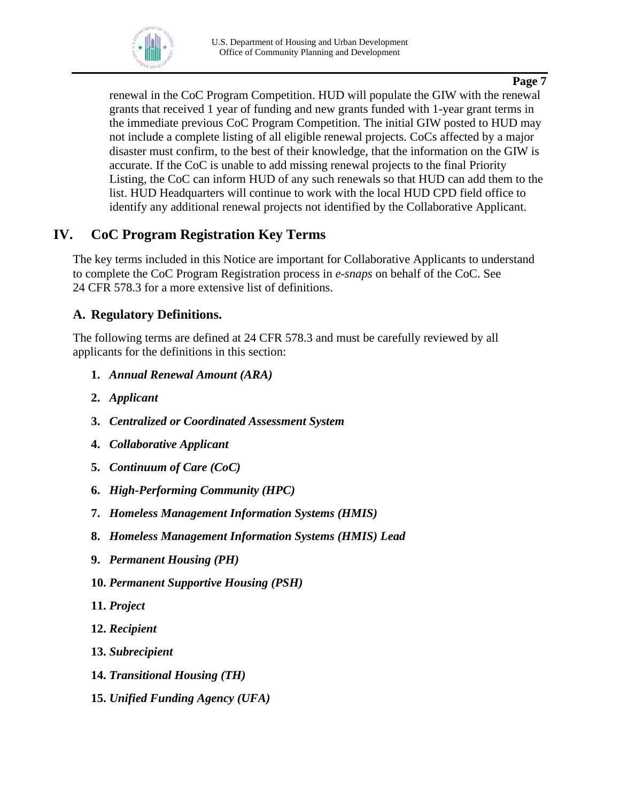

renewal in the CoC Program Competition. HUD will populate the GIW with the renewal grants that received 1 year of funding and new grants funded with 1-year grant terms in the immediate previous CoC Program Competition. The initial GIW posted to HUD may not include a complete listing of all eligible renewal projects. CoCs affected by a major disaster must confirm, to the best of their knowledge, that the information on the GIW is accurate. If the CoC is unable to add missing renewal projects to the final Priority Listing, the CoC can inform HUD of any such renewals so that HUD can add them to the list. HUD Headquarters will continue to work with the local HUD CPD field office to identify any additional renewal projects not identified by the Collaborative Applicant.

# <span id="page-6-0"></span>**IV. CoC Program Registration Key Terms**

The key terms included in this Notice are important for Collaborative Applicants to understand to complete the CoC Program Registration process in *e-snaps* on behalf of the CoC. See 24 CFR 578.3 for a more extensive list of definitions.

### <span id="page-6-1"></span>**A. Regulatory Definitions.**

The following terms are defined at 24 CFR 578.3 and must be carefully reviewed by all applicants for the definitions in this section:

- **1.** *Annual Renewal Amount (ARA)*
- **2.** *Applicant*
- **3.** *Centralized or Coordinated Assessment System*
- **4.** *Collaborative Applicant*
- **5.** *Continuum of Care (CoC)*
- **6.** *High-Performing Community (HPC)*
- **7.** *Homeless Management Information Systems (HMIS)*
- **8.** *Homeless Management Information Systems (HMIS) Lead*
- **9.** *Permanent Housing (PH)*
- **10.** *Permanent Supportive Housing (PSH)*
- **11.** *Project*
- **12.** *Recipient*
- **13.** *Subrecipient*
- **14.** *Transitional Housing (TH)*
- **15.** *Unified Funding Agency (UFA)*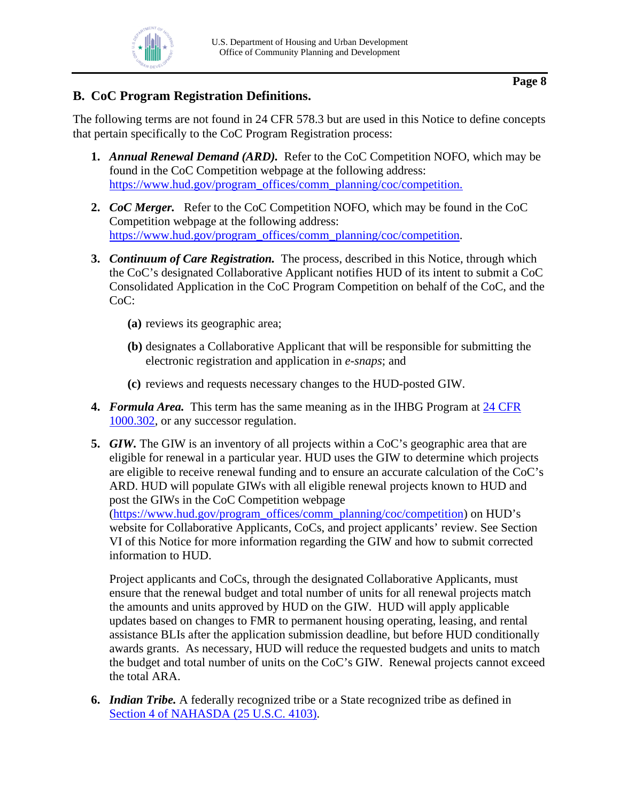

## <span id="page-7-0"></span>**B. CoC Program Registration Definitions.**

The following terms are not found in 24 CFR 578.3 but are used in this Notice to define concepts that pertain specifically to the CoC Program Registration process:

- **1.** *Annual Renewal Demand (ARD).* Refer to the CoC Competition NOFO, which may be found in the CoC Competition webpage at the following address: [https://www.hud.gov/program\\_offices/comm\\_planning/coc/competition.](https://www.hud.gov/program_offices/comm_planning/coc/competition)
- **2.** *CoC Merger.* Refer to the CoC Competition NOFO, which may be found in the CoC Competition webpage at the following address: [https://www.hud.gov/program\\_offices/comm\\_planning/coc/competition.](https://www.hud.gov/program_offices/comm_planning/coc/competition)
- **3.** *Continuum of Care Registration.* The process, described in this Notice, through which the CoC's designated Collaborative Applicant notifies HUD of its intent to submit a CoC Consolidated Application in the CoC Program Competition on behalf of the CoC, and the CoC:
	- **(a)** reviews its geographic area;
	- **(b)** designates a Collaborative Applicant that will be responsible for submitting the electronic registration and application in *e-snaps*; and
	- **(c)** reviews and requests necessary changes to the HUD-posted GIW.
- **4.** *Formula Area.* This term has the same meaning as in the IHBG Program at [24 CFR](https://www.ecfr.gov/current/title-24/subtitle-B/chapter-IX/part-1000/subpart-D/section-1000.302)  [1000.302,](https://www.ecfr.gov/current/title-24/subtitle-B/chapter-IX/part-1000/subpart-D/section-1000.302) or any successor regulation.
- **5.** *GIW.* The GIW is an inventory of all projects within a CoC's geographic area that are eligible for renewal in a particular year. HUD uses the GIW to determine which projects are eligible to receive renewal funding and to ensure an accurate calculation of the CoC's ARD. HUD will populate GIWs with all eligible renewal projects known to HUD and post the GIWs in the CoC Competition webpage [\(https://www.hud.gov/program\\_offices/comm\\_planning/coc/competition\)](https://www.hud.gov/program_offices/comm_planning/coc/competition) on HUD's

website for Collaborative Applicants, CoCs, and project applicants' review. See Section VI of this Notice for more information regarding the GIW and how to submit corrected information to HUD.

 Project applicants and CoCs, through the designated Collaborative Applicants, must ensure that the renewal budget and total number of units for all renewal projects match the amounts and units approved by HUD on the GIW. HUD will apply applicable updates based on changes to FMR to permanent housing operating, leasing, and rental assistance BLIs after the application submission deadline, but before HUD conditionally awards grants. As necessary, HUD will reduce the requested budgets and units to match the budget and total number of units on the CoC's GIW. Renewal projects cannot exceed the total ARA.

**6.** *Indian Tribe.* A federally recognized tribe or a State recognized tribe as defined in [Section 4 of NAHASDA \(25 U.S.C. 4103\).](https://uscode.house.gov/view.xhtml?req=granuleid:USC-prelim-title25-section4103&num=0&edition=prelim)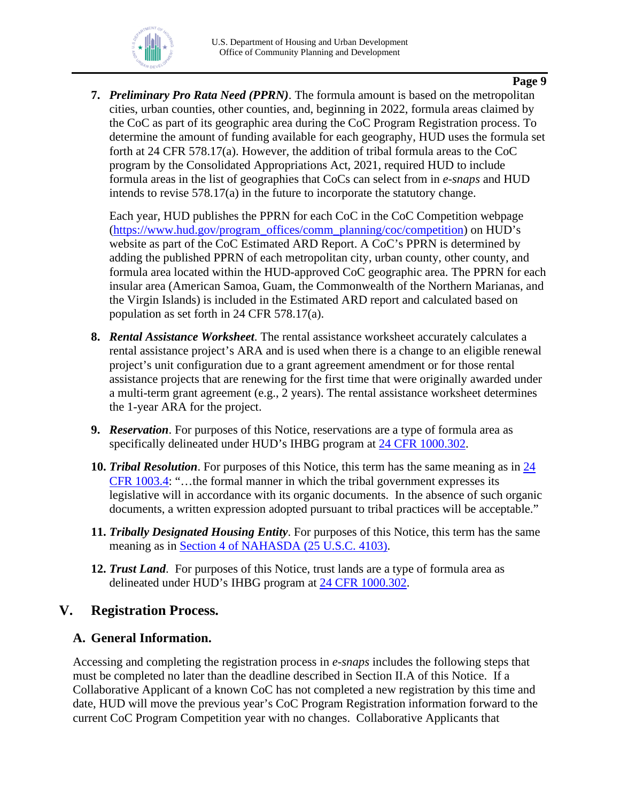

**7.** *Preliminary Pro Rata Need (PPRN)*. The formula amount is based on the metropolitan cities, urban counties, other counties, and, beginning in 2022, formula areas claimed by the CoC as part of its geographic area during the CoC Program Registration process. To determine the amount of funding available for each geography, HUD uses the formula set forth at 24 CFR 578.17(a). However, the addition of tribal formula areas to the CoC program by the Consolidated Appropriations Act, 2021, required HUD to include formula areas in the list of geographies that CoCs can select from in *e-snaps* and HUD intends to revise 578.17(a) in the future to incorporate the statutory change.

Each year, HUD publishes the PPRN for each CoC in the CoC Competition webpage [\(https://www.hud.gov/program\\_offices/comm\\_planning/coc/competition\)](https://www.hud.gov/program_offices/comm_planning/coc/competition) on HUD's website as part of the CoC Estimated ARD Report. A CoC's PPRN is determined by adding the published PPRN of each metropolitan city, urban county, other county, and formula area located within the HUD-approved CoC geographic area. The PPRN for each insular area (American Samoa, Guam, the Commonwealth of the Northern Marianas, and the Virgin Islands) is included in the Estimated ARD report and calculated based on population as set forth in 24 CFR 578.17(a).

- **8.** *Rental Assistance Worksheet*. The rental assistance worksheet accurately calculates a rental assistance project's ARA and is used when there is a change to an eligible renewal project's unit configuration due to a grant agreement amendment or for those rental assistance projects that are renewing for the first time that were originally awarded under a multi-term grant agreement (e.g., 2 years). The rental assistance worksheet determines the 1-year ARA for the project.
- **9.** *Reservation*. For purposes of this Notice, reservations are a type of formula area as specifically delineated under HUD's IHBG program at [24 CFR 1000.302.](https://www.ecfr.gov/current/title-24/subtitle-B/chapter-IX/part-1000/subpart-D/section-1000.302)
- **10.** *Tribal Resolution*. For purposes of this Notice, this term has the same meaning as in [24](https://www.ecfr.gov/current/title-24/subtitle-B/chapter-IX/part-1003/subpart-A/section-1003.4)  [CFR 1003.4:](https://www.ecfr.gov/current/title-24/subtitle-B/chapter-IX/part-1003/subpart-A/section-1003.4) "…the formal manner in which the tribal government expresses its legislative will in accordance with its organic documents. In the absence of such organic documents, a written expression adopted pursuant to tribal practices will be acceptable."
- **11.** *Tribally Designated Housing Entity*. For purposes of this Notice, this term has the same meaning as in [Section 4 of NAHASDA \(25 U.S.C. 4103\).](https://uscode.house.gov/view.xhtml?req=granuleid:USC-prelim-title25-section4103&num=0&edition=prelim)
- **12.** *Trust Land*. For purposes of this Notice, trust lands are a type of formula area as delineated under HUD's IHBG program at [24 CFR 1000.302.](https://www.ecfr.gov/current/title-24/subtitle-B/chapter-IX/part-1000/subpart-D/section-1000.302)

## <span id="page-8-0"></span>**V. Registration Process.**

### <span id="page-8-1"></span>**A. General Information.**

Accessing and completing the registration process in *e-snaps* includes the following steps that must be completed no later than the deadline described in Section II.A of this Notice. If a Collaborative Applicant of a known CoC has not completed a new registration by this time and date, HUD will move the previous year's CoC Program Registration information forward to the current CoC Program Competition year with no changes. Collaborative Applicants that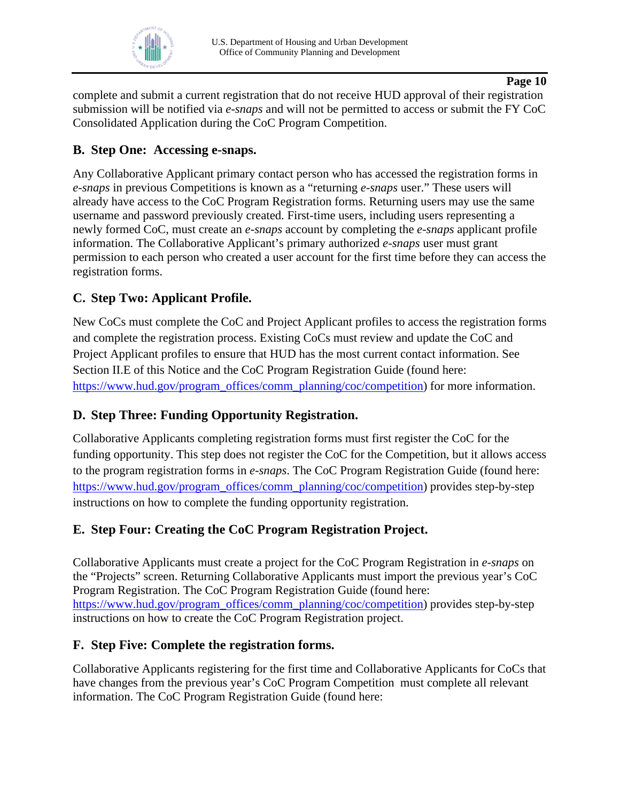

complete and submit a current registration that do not receive HUD approval of their registration submission will be notified via *e-snaps* and will not be permitted to access or submit the FY CoC Consolidated Application during the CoC Program Competition.

### <span id="page-9-0"></span>**B. Step One: Accessing e-snaps.**

Any Collaborative Applicant primary contact person who has accessed the registration forms in *e-snaps* in previous Competitions is known as a "returning *e-snaps* user." These users will already have access to the CoC Program Registration forms. Returning users may use the same username and password previously created. First-time users, including users representing a newly formed CoC, must create an *e-snaps* account by completing the *e-snaps* applicant profile information. The Collaborative Applicant's primary authorized *e-snaps* user must grant permission to each person who created a user account for the first time before they can access the registration forms.

## <span id="page-9-1"></span>**C. Step Two: Applicant Profile.**

New CoCs must complete the CoC and Project Applicant profiles to access the registration forms and complete the registration process. Existing CoCs must review and update the CoC and Project Applicant profiles to ensure that HUD has the most current contact information. See Section II.E of this Notice and the CoC Program Registration Guide (found here: [https://www.hud.gov/program\\_offices/comm\\_planning/coc/competition\)](https://www.hud.gov/program_offices/comm_planning/coc/competition) for more information.

### <span id="page-9-2"></span>**D. Step Three: Funding Opportunity Registration.**

Collaborative Applicants completing registration forms must first register the CoC for the funding opportunity. This step does not register the CoC for the Competition, but it allows access to the program registration forms in *e-snaps*. The CoC Program Registration Guide (found here: [https://www.hud.gov/program\\_offices/comm\\_planning/coc/competition\)](https://www.hud.gov/program_offices/comm_planning/coc/competition) provides step-by-step instructions on how to complete the funding opportunity registration.

## <span id="page-9-3"></span>**E. Step Four: Creating the CoC Program Registration Project.**

Collaborative Applicants must create a project for the CoC Program Registration in *e-snaps* on the "Projects" screen. Returning Collaborative Applicants must import the previous year's CoC Program Registration. The CoC Program Registration Guide (found here: [https://www.hud.gov/program\\_offices/comm\\_planning/coc/competition\)](https://www.hud.gov/program_offices/comm_planning/coc/competition) provides step-by-step instructions on how to create the CoC Program Registration project.

### <span id="page-9-4"></span>**F. Step Five: Complete the registration forms.**

Collaborative Applicants registering for the first time and Collaborative Applicants for CoCs that have changes from the previous year's CoC Program Competition must complete all relevant information. The CoC Program Registration Guide (found here: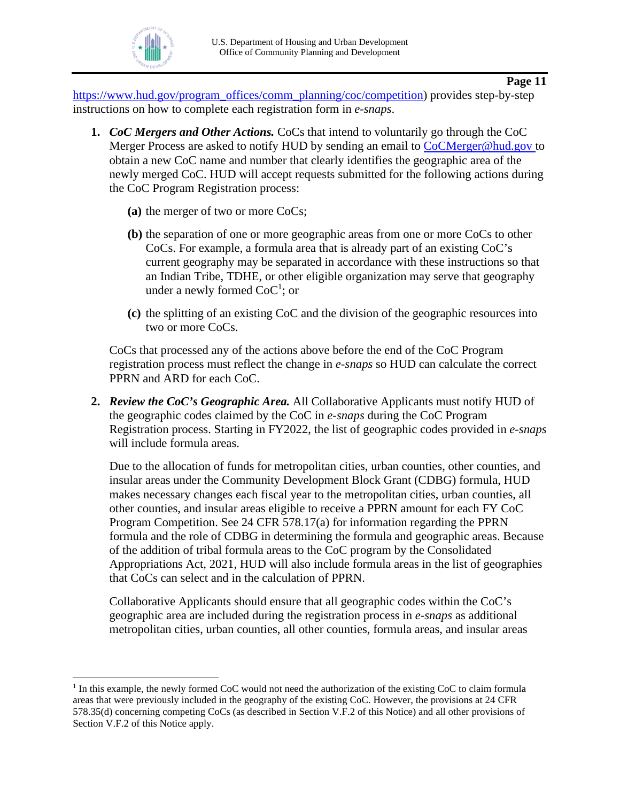

[https://www.hud.gov/program\\_offices/comm\\_planning/coc/competition\)](https://www.hud.gov/program_offices/comm_planning/coc/competition) provides step-by-step instructions on how to complete each registration form in *e-snaps*.

- **1.** *CoC Mergers and Other Actions.* CoCs that intend to voluntarily go through the CoC Merger Process are asked to notify HUD by sending an email to [CoCMerger@hud.gov](mailto:CoCMerger@hud.gov) to obtain a new CoC name and number that clearly identifies the geographic area of the newly merged CoC. HUD will accept requests submitted for the following actions during the CoC Program Registration process:
	- **(a)** the merger of two or more CoCs;
	- **(b)** the separation of one or more geographic areas from one or more CoCs to other CoCs. For example, a formula area that is already part of an existing CoC's current geography may be separated in accordance with these instructions so that an Indian Tribe, TDHE, or other eligible organization may serve that geography under a newly formed  $CoC<sup>1</sup>$ ; or
	- **(c)** the splitting of an existing CoC and the division of the geographic resources into two or more CoCs.

CoCs that processed any of the actions above before the end of the CoC Program registration process must reflect the change in *e-snaps* so HUD can calculate the correct PPRN and ARD for each CoC.

**2.** *Review the CoC's Geographic Area.* All Collaborative Applicants must notify HUD of the geographic codes claimed by the CoC in *e-snaps* during the CoC Program Registration process. Starting in FY2022, the list of geographic codes provided in *e-snaps* will include formula areas.

Due to the allocation of funds for metropolitan cities, urban counties, other counties, and insular areas under the Community Development Block Grant (CDBG) formula, HUD makes necessary changes each fiscal year to the metropolitan cities, urban counties, all other counties, and insular areas eligible to receive a PPRN amount for each FY CoC Program Competition. See 24 CFR 578.17(a) for information regarding the PPRN formula and the role of CDBG in determining the formula and geographic areas. Because of the addition of tribal formula areas to the CoC program by the Consolidated Appropriations Act, 2021, HUD will also include formula areas in the list of geographies that CoCs can select and in the calculation of PPRN.

Collaborative Applicants should ensure that all geographic codes within the CoC's geographic area are included during the registration process in *e-snaps* as additional metropolitan cities, urban counties, all other counties, formula areas, and insular areas

<sup>&</sup>lt;sup>1</sup> In this example, the newly formed CoC would not need the authorization of the existing CoC to claim formula areas that were previously included in the geography of the existing CoC. However, the provisions at 24 CFR 578.35(d) concerning competing CoCs (as described in Section V.F.2 of this Notice) and all other provisions of Section V.F.2 of this Notice apply.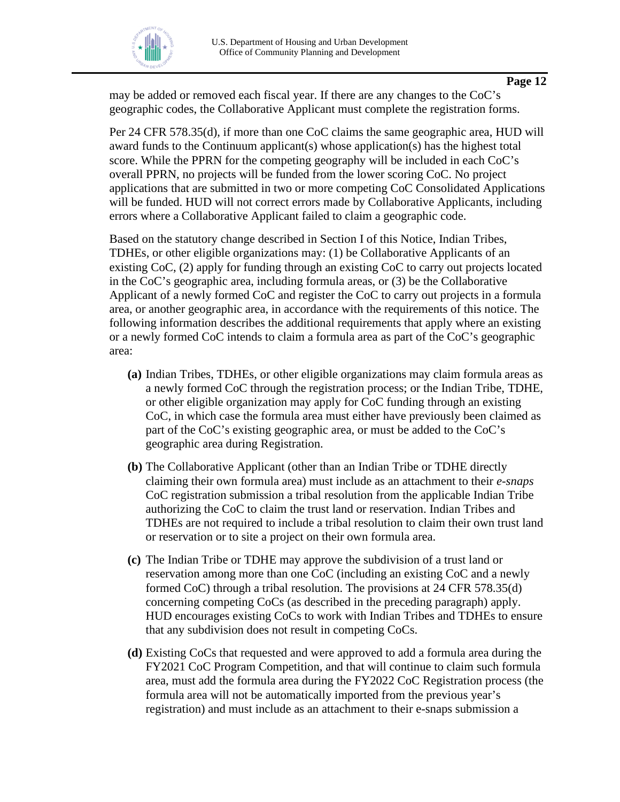

may be added or removed each fiscal year. If there are any changes to the CoC's geographic codes, the Collaborative Applicant must complete the registration forms.

Per 24 CFR 578.35(d), if more than one CoC claims the same geographic area, HUD will award funds to the Continuum applicant(s) whose application(s) has the highest total score. While the PPRN for the competing geography will be included in each CoC's overall PPRN, no projects will be funded from the lower scoring CoC. No project applications that are submitted in two or more competing CoC Consolidated Applications will be funded. HUD will not correct errors made by Collaborative Applicants, including errors where a Collaborative Applicant failed to claim a geographic code.

Based on the statutory change described in Section I of this Notice, Indian Tribes, TDHEs, or other eligible organizations may: (1) be Collaborative Applicants of an existing CoC, (2) apply for funding through an existing CoC to carry out projects located in the CoC's geographic area, including formula areas, or (3) be the Collaborative Applicant of a newly formed CoC and register the CoC to carry out projects in a formula area, or another geographic area, in accordance with the requirements of this notice. The following information describes the additional requirements that apply where an existing or a newly formed CoC intends to claim a formula area as part of the CoC's geographic area:

- **(a)** Indian Tribes, TDHEs, or other eligible organizations may claim formula areas as a newly formed CoC through the registration process; or the Indian Tribe, TDHE, or other eligible organization may apply for CoC funding through an existing CoC, in which case the formula area must either have previously been claimed as part of the CoC's existing geographic area, or must be added to the CoC's geographic area during Registration.
- **(b)** The Collaborative Applicant (other than an Indian Tribe or TDHE directly claiming their own formula area) must include as an attachment to their *e-snaps* CoC registration submission a tribal resolution from the applicable Indian Tribe authorizing the CoC to claim the trust land or reservation. Indian Tribes and TDHEs are not required to include a tribal resolution to claim their own trust land or reservation or to site a project on their own formula area.
- **(c)** The Indian Tribe or TDHE may approve the subdivision of a trust land or reservation among more than one CoC (including an existing CoC and a newly formed CoC) through a tribal resolution. The provisions at 24 CFR 578.35(d) concerning competing CoCs (as described in the preceding paragraph) apply. HUD encourages existing CoCs to work with Indian Tribes and TDHEs to ensure that any subdivision does not result in competing CoCs.
- **(d)** Existing CoCs that requested and were approved to add a formula area during the FY2021 CoC Program Competition, and that will continue to claim such formula area, must add the formula area during the FY2022 CoC Registration process (the formula area will not be automatically imported from the previous year's registration) and must include as an attachment to their e-snaps submission a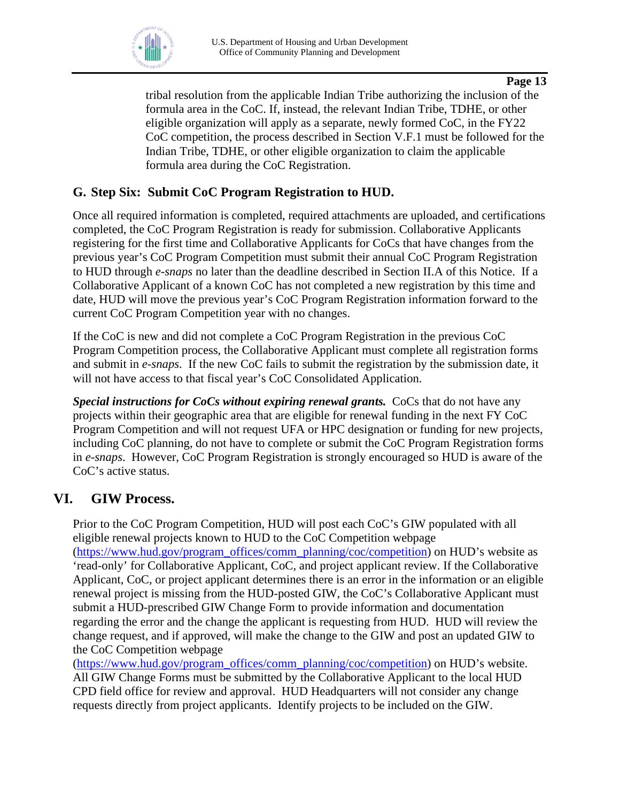

tribal resolution from the applicable Indian Tribe authorizing the inclusion of the formula area in the CoC. If, instead, the relevant Indian Tribe, TDHE, or other eligible organization will apply as a separate, newly formed CoC, in the FY22 CoC competition, the process described in Section V.F.1 must be followed for the Indian Tribe, TDHE, or other eligible organization to claim the applicable formula area during the CoC Registration.

## <span id="page-12-0"></span>**G. Step Six: Submit CoC Program Registration to HUD.**

Once all required information is completed, required attachments are uploaded, and certifications completed, the CoC Program Registration is ready for submission. Collaborative Applicants registering for the first time and Collaborative Applicants for CoCs that have changes from the previous year's CoC Program Competition must submit their annual CoC Program Registration to HUD through *e-snaps* no later than the deadline described in Section II.A of this Notice. If a Collaborative Applicant of a known CoC has not completed a new registration by this time and date, HUD will move the previous year's CoC Program Registration information forward to the current CoC Program Competition year with no changes.

If the CoC is new and did not complete a CoC Program Registration in the previous CoC Program Competition process, the Collaborative Applicant must complete all registration forms and submit in *e-snaps*. If the new CoC fails to submit the registration by the submission date, it will not have access to that fiscal year's CoC Consolidated Application.

*Special instructions for CoCs without expiring renewal grants.* CoCs that do not have any projects within their geographic area that are eligible for renewal funding in the next FY CoC Program Competition and will not request UFA or HPC designation or funding for new projects, including CoC planning, do not have to complete or submit the CoC Program Registration forms in *e-snaps*. However, CoC Program Registration is strongly encouraged so HUD is aware of the CoC's active status.

# <span id="page-12-1"></span>**VI. GIW Process.**

Prior to the CoC Program Competition, HUD will post each CoC's GIW populated with all eligible renewal projects known to HUD to the CoC Competition webpage [\(https://www.hud.gov/program\\_offices/comm\\_planning/coc/competition\)](https://www.hud.gov/program_offices/comm_planning/coc/competition) on HUD's website as 'read-only' for Collaborative Applicant, CoC, and project applicant review. If the Collaborative Applicant, CoC, or project applicant determines there is an error in the information or an eligible renewal project is missing from the HUD-posted GIW, the CoC's Collaborative Applicant must submit a HUD-prescribed GIW Change Form to provide information and documentation regarding the error and the change the applicant is requesting from HUD. HUD will review the change request, and if approved, will make the change to the GIW and post an updated GIW to the CoC Competition webpage

[\(https://www.hud.gov/program\\_offices/comm\\_planning/coc/competition\)](https://www.hud.gov/program_offices/comm_planning/coc/competition) on HUD's website. All GIW Change Forms must be submitted by the Collaborative Applicant to the local HUD CPD field office for review and approval. HUD Headquarters will not consider any change requests directly from project applicants. Identify projects to be included on the GIW.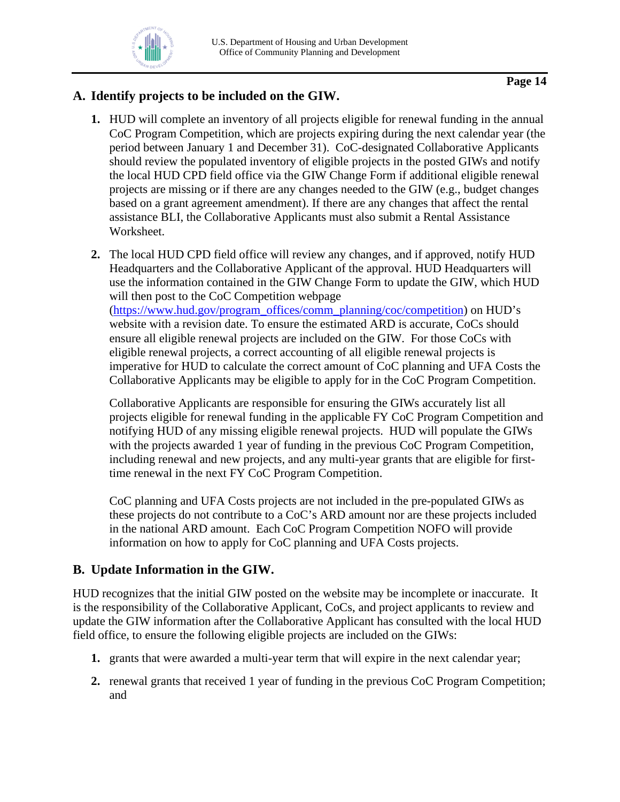# <span id="page-13-0"></span>**A. Identify projects to be included on the GIW.**

- **1.** HUD will complete an inventory of all projects eligible for renewal funding in the annual CoC Program Competition, which are projects expiring during the next calendar year (the period between January 1 and December 31). CoC-designated Collaborative Applicants should review the populated inventory of eligible projects in the posted GIWs and notify the local HUD CPD field office via the GIW Change Form if additional eligible renewal projects are missing or if there are any changes needed to the GIW (e.g., budget changes based on a grant agreement amendment). If there are any changes that affect the rental assistance BLI, the Collaborative Applicants must also submit a Rental Assistance Worksheet.
- **2.** The local HUD CPD field office will review any changes, and if approved, notify HUD Headquarters and the Collaborative Applicant of the approval. HUD Headquarters will use the information contained in the GIW Change Form to update the GIW, which HUD will then post to the CoC Competition webpage [\(https://www.hud.gov/program\\_offices/comm\\_planning/coc/competition\)](https://www.hud.gov/program_offices/comm_planning/coc/competition) on HUD's website with a revision date. To ensure the estimated ARD is accurate, CoCs should ensure all eligible renewal projects are included on the GIW. For those CoCs with eligible renewal projects, a correct accounting of all eligible renewal projects is imperative for HUD to calculate the correct amount of CoC planning and UFA Costs the Collaborative Applicants may be eligible to apply for in the CoC Program Competition.

Collaborative Applicants are responsible for ensuring the GIWs accurately list all projects eligible for renewal funding in the applicable FY CoC Program Competition and notifying HUD of any missing eligible renewal projects. HUD will populate the GIWs with the projects awarded 1 year of funding in the previous CoC Program Competition, including renewal and new projects, and any multi-year grants that are eligible for firsttime renewal in the next FY CoC Program Competition.

CoC planning and UFA Costs projects are not included in the pre-populated GIWs as these projects do not contribute to a CoC's ARD amount nor are these projects included in the national ARD amount. Each CoC Program Competition NOFO will provide information on how to apply for CoC planning and UFA Costs projects.

# <span id="page-13-1"></span>**B. Update Information in the GIW.**

HUD recognizes that the initial GIW posted on the website may be incomplete or inaccurate. It is the responsibility of the Collaborative Applicant, CoCs, and project applicants to review and update the GIW information after the Collaborative Applicant has consulted with the local HUD field office, to ensure the following eligible projects are included on the GIWs:

- **1.** grants that were awarded a multi-year term that will expire in the next calendar year;
- **2.** renewal grants that received 1 year of funding in the previous CoC Program Competition; and